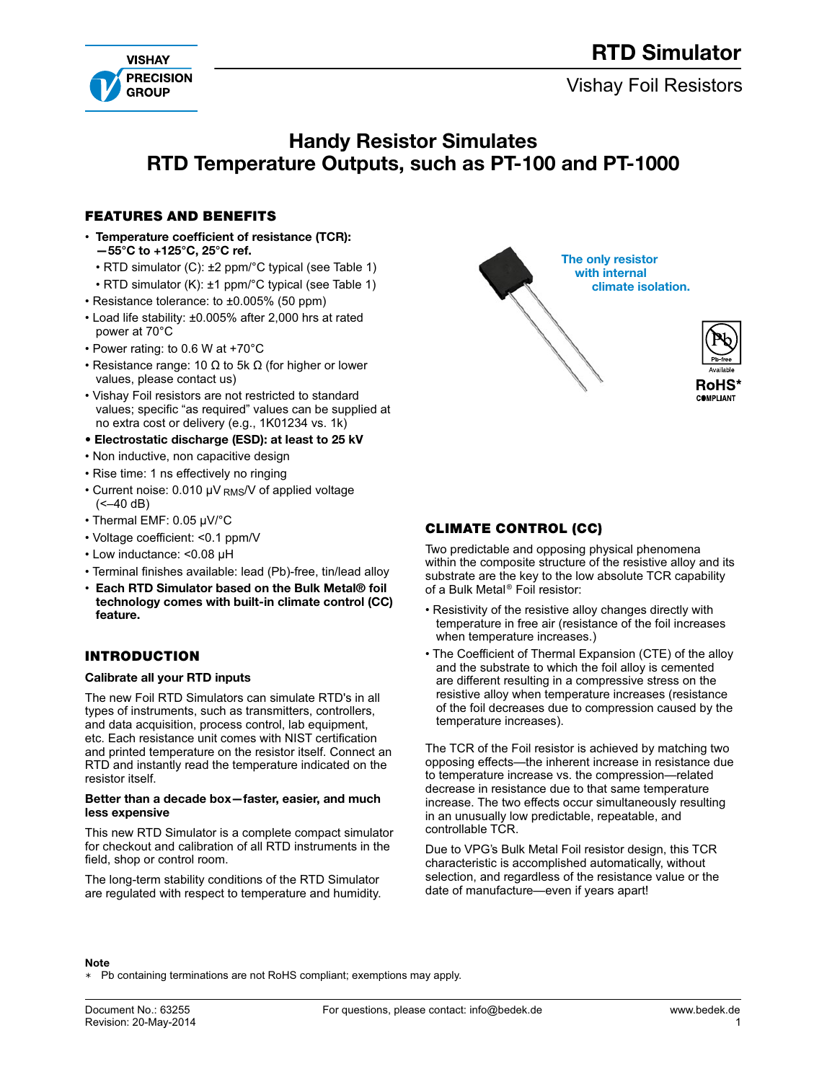# RTD Simulator





## Handy Resistor Simulates RTD Temperature Outputs, such as PT-100 and PT-1000

### **FEATURES AND BENEFITS**

- Temperature coefficient of resistance (TCR): —55°C to +125°C, 25°C ref.
	- RTD simulator (C): ±2 ppm/°C typical (see Table 1)
	- RTD simulator (K): ±1 ppm/°C typical (see Table 1)
- Resistance tolerance: to ±0.005% (50 ppm)
- Load life stability: ±0.005% after 2,000 hrs at rated power at 70°C
- Power rating: to 0.6 W at +70°C
- Resistance range: 10  $\Omega$  to 5k  $\Omega$  (for higher or lower values, please contact us)
- Vishay Foil resistors are not restricted to standard values; specific "as required" values can be supplied at no extra cost or delivery (e.g., 1K01234 vs. 1k)
- Electrostatic discharge (ESD): at least to 25 kV
- Non inductive, non capacitive design
- Rise time: 1 ns effectively no ringing
- Current noise: 0.010 μV RMS/V of applied voltage  $(-40 dB)$
- Thermal EMF: 0.05 μV/°C
- Voltage coefficient: <0.1 ppm/V
- Low inductance: <0.08 μH
- Terminal finishes available: lead (Pb)-free, tin/lead alloy
- Each RTD Simulator based on the Bulk Metal® foil technology comes with built-in climate control (CC) feature.

### **INTRODUCTION**

### Calibrate all your RTD inputs

The new Foil RTD Simulators can simulate RTD's in all types of instruments, such as transmitters, controllers, and data acquisition, process control, lab equipment, etc. Each resistance unit comes with NIST certification and printed temperature on the resistor itself. Connect an RTD and instantly read the temperature indicated on the resistor itself.

#### Better than a decade box—faster, easier, and much less expensive

This new RTD Simulator is a complete compact simulator for checkout and calibration of all RTD instruments in the field, shop or control room.

The long-term stability conditions of the RTD Simulator are regulated with respect to temperature and humidity.



### **CLIMATE CONTROL (CC)**

Two predictable and opposing physical phenomena within the composite structure of the resistive alloy and its substrate are the key to the low absolute TCR capability of a Bulk Metal® Foil resistor:

- Resistivity of the resistive alloy changes directly with temperature in free air (resistance of the foil increases when temperature increases.)
- The Coefficient of Thermal Expansion (CTE) of the alloy and the substrate to which the foil alloy is cemented are different resulting in a compressive stress on the resistive alloy when temperature increases (resistance of the foil decreases due to compression caused by the temperature increases).

The TCR of the Foil resistor is achieved by matching two opposing effects—the inherent increase in resistance due to temperature increase vs. the compression—related decrease in resistance due to that same temperature increase. The two effects occur simultaneously resulting in an unusually low predictable, repeatable, and controllable TCR.

Due to VPG's Bulk Metal Foil resistor design, this TCR characteristic is accomplished automatically, without selection, and regardless of the resistance value or the date of manufacture—even if years apart!

#### Note

∗ Pb containing terminations are not RoHS compliant; exemptions may apply.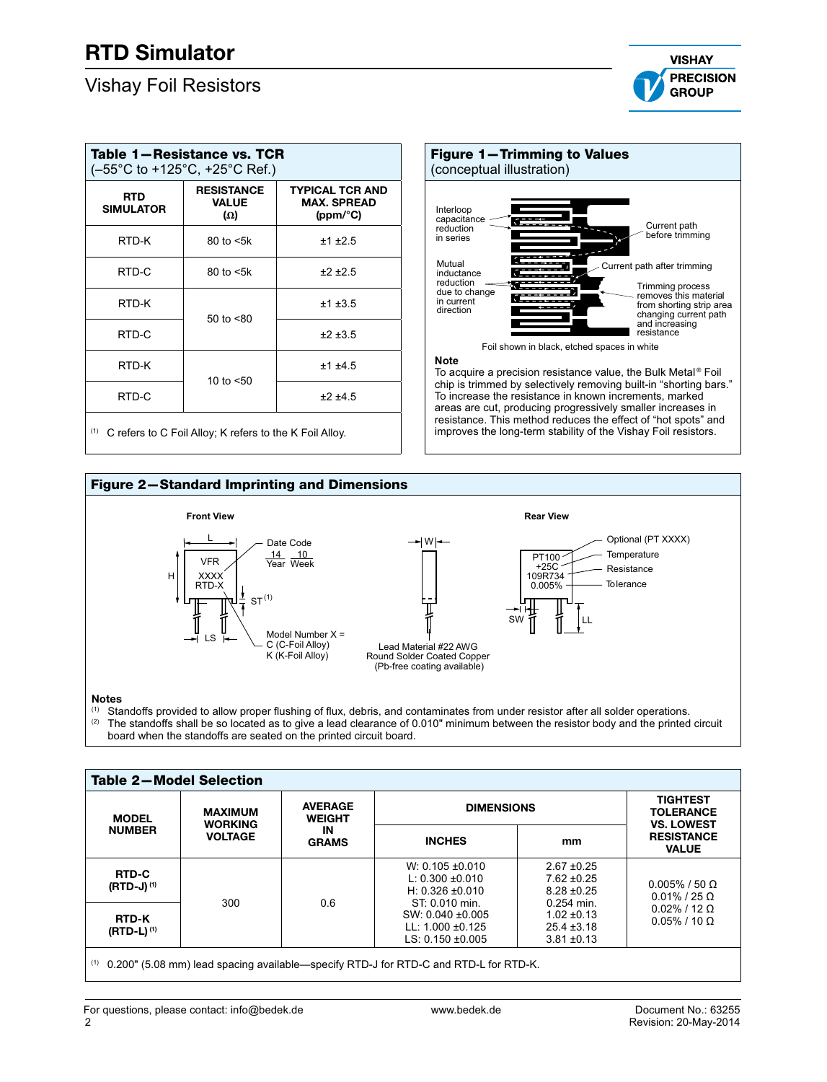## Vishay Foil Resistors



| Table 1-Resistance vs. TCR<br>(-55°C to +125°C, +25°C Ref.) |                                                 |                                                          |  |  |  |  |  |
|-------------------------------------------------------------|-------------------------------------------------|----------------------------------------------------------|--|--|--|--|--|
| <b>RTD</b><br><b>SIMULATOR</b>                              | <b>RESISTANCE</b><br><b>VALUE</b><br>$(\Omega)$ | <b>TYPICAL TCR AND</b><br><b>MAX. SPREAD</b><br>(ppm/°C) |  |  |  |  |  |
| RTD-K                                                       | $80$ to $\leq 5k$                               | ±1 ±2.5                                                  |  |  |  |  |  |
| RTD-C                                                       | $80$ to $\leq 5k$                               | ±2±2.5                                                   |  |  |  |  |  |
| RTD-K                                                       | 50 to $< 80$                                    | ±1±3.5                                                   |  |  |  |  |  |
| RTD-C                                                       |                                                 | ±2±3.5                                                   |  |  |  |  |  |
| RTD-K                                                       |                                                 | ±1 ±4.5                                                  |  |  |  |  |  |
| RTD-C                                                       | 10 to $< 50$                                    | ±2±4.5                                                   |  |  |  |  |  |
|                                                             |                                                 |                                                          |  |  |  |  |  |

(1) C refers to C Foil Alloy; K refers to the K Foil Alloy.



#### **Note**

To acquire a precision resistance value, the Bulk Metal® Foil chip is trimmed by selectively removing built-in "shorting bars." To increase the resistance in known increments, marked areas are cut, producing progressively smaller increases in resistance. This method reduces the effect of "hot spots" and improves the long-term stability of the Vishay Foil resistors.





## Notes

(1) Standoffs provided to allow proper flushing of flux, debris, and contaminates from under resistor after all solder operations.<br>(2) The standoffs shall be so located as to give a lead clearance of 0.010" minimum betwee The standoffs shall be so located as to give a lead clearance of 0.010" minimum between the resistor body and the printed circuit board when the standoffs are seated on the printed circuit board.

| <b>Table 2-Model Selection</b>  |                                  |                                 |                                                                                      |                                                                     |                                                   |  |  |  |
|---------------------------------|----------------------------------|---------------------------------|--------------------------------------------------------------------------------------|---------------------------------------------------------------------|---------------------------------------------------|--|--|--|
| <b>MODEL</b>                    | <b>MAXIMUM</b>                   | <b>AVERAGE</b><br><b>WEIGHT</b> | <b>DIMENSIONS</b>                                                                    | <b>TIGHTEST</b><br><b>TOLERANCE</b><br><b>VS. LOWEST</b>            |                                                   |  |  |  |
| <b>NUMBER</b>                   | <b>WORKING</b><br><b>VOLTAGE</b> | ΙN<br><b>GRAMS</b>              | <b>INCHES</b>                                                                        | mm                                                                  | <b>RESISTANCE</b><br><b>VALUE</b>                 |  |  |  |
| <b>RTD-C</b><br>$(RTD-J)^{(1)}$ | 300                              | 0.6                             | $W: 0.105 \pm 0.010$<br>L: $0.300 + 0.010$<br>H: $0.326 \pm 0.010$<br>ST: 0.010 min. | $2.67 + 0.25$<br>$7.62 \pm 0.25$<br>$8.28 \pm 0.25$<br>$0.254$ min. | $0.005\%$ / 50 $\Omega$<br>$0.01\%$ / 25 $\Omega$ |  |  |  |
| <b>RTD-K</b><br>$(RTD-L)^{(1)}$ |                                  |                                 | SW: 0.040 ±0.005<br>LL: $1.000 \pm 0.125$<br>LS: $0.150 \pm 0.005$                   | $1.02 \pm 0.13$<br>$25.4 \pm 3.18$<br>$3.81 \pm 0.13$               | $0.02\%$ / 12 $\Omega$<br>$0.05\%$ / 10 $\Omega$  |  |  |  |
| (1)                             |                                  |                                 | 0.200" (5.08 mm) lead spacing available—specify RTD-J for RTD-C and RTD-L for RTD-K. |                                                                     |                                                   |  |  |  |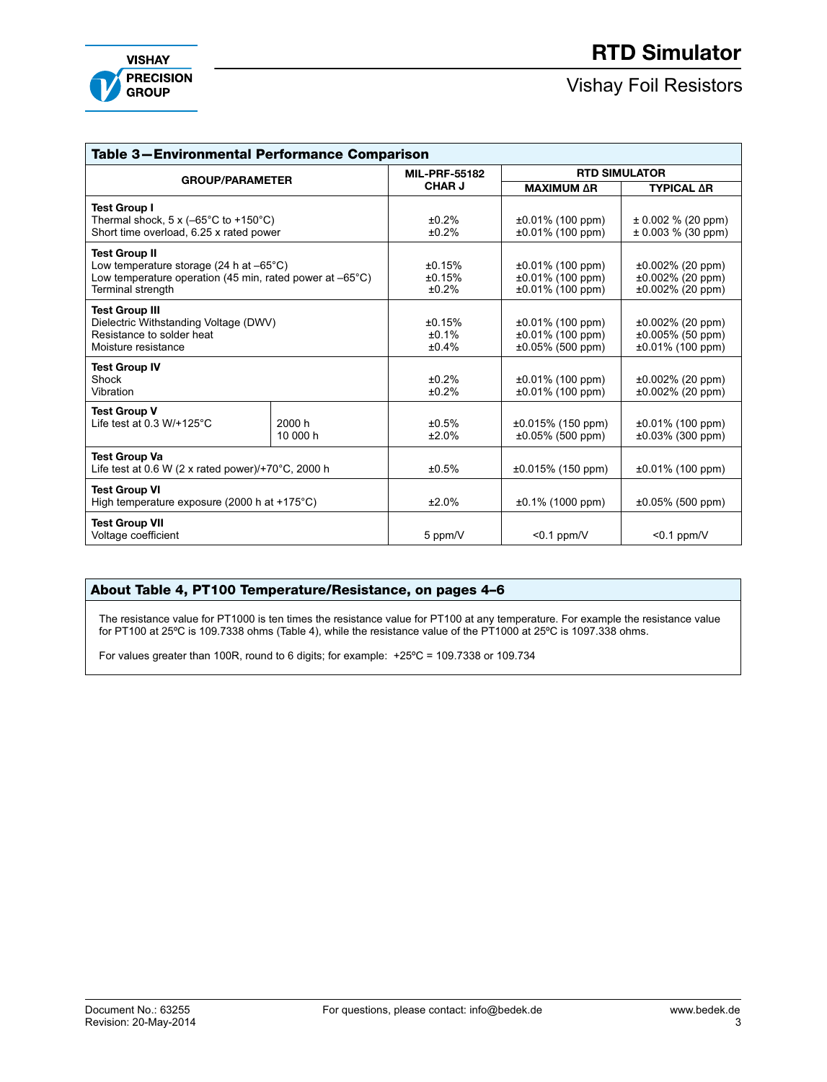

## Vishay Foil Resistors

| Table 3-Environmental Performance Comparison                                                                                                                                |                |                                               |                                                                      |                                                                   |  |  |  |  |
|-----------------------------------------------------------------------------------------------------------------------------------------------------------------------------|----------------|-----------------------------------------------|----------------------------------------------------------------------|-------------------------------------------------------------------|--|--|--|--|
| <b>GROUP/PARAMETER</b>                                                                                                                                                      |                | <b>MIL-PRF-55182</b>                          | <b>RTD SIMULATOR</b>                                                 |                                                                   |  |  |  |  |
|                                                                                                                                                                             | <b>CHAR J</b>  | <b>MAXIMUM AR</b>                             | <b>TYPICAL AR</b>                                                    |                                                                   |  |  |  |  |
| <b>Test Group I</b><br>Thermal shock, $5 \times (-65^{\circ} \text{C})$ to $+150^{\circ} \text{C}$ )<br>Short time overload, 6.25 x rated power                             | ±0.2%<br>±0.2% | $\pm 0.01\%$ (100 ppm)<br>$±0.01\%$ (100 ppm) | $\pm$ 0.002 % (20 ppm)<br>$\pm$ 0.003 % (30 ppm)                     |                                                                   |  |  |  |  |
| <b>Test Group II</b><br>Low temperature storage (24 h at $-65^{\circ}$ C)<br>Low temperature operation (45 min, rated power at $-65^{\circ}$ C)<br><b>Terminal strength</b> |                | ±0.15%<br>±0.15%<br>±0.2%                     | $±0.01\%$ (100 ppm)<br>$±0.01\%$ (100 ppm)<br>$\pm 0.01\%$ (100 ppm) | $±0.002\%$ (20 ppm)<br>$±0.002\%$ (20 ppm)<br>$±0.002\%$ (20 ppm) |  |  |  |  |
| <b>Test Group III</b><br>Dielectric Withstanding Voltage (DWV)<br>Resistance to solder heat<br>Moisture resistance                                                          |                | ±0.15%<br>±0.1%<br>±0.4%                      | $\pm 0.01\%$ (100 ppm)<br>$±0.01\%$ (100 ppm)<br>±0.05% (500 ppm)    | $±0.002\%$ (20 ppm)<br>$±0.005\%$ (50 ppm)<br>$±0.01\%$ (100 ppm) |  |  |  |  |
| <b>Test Group IV</b><br>Shock<br>Vibration                                                                                                                                  | ±0.2%<br>±0.2% | $±0.01\%$ (100 ppm)<br>$±0.01\%$ (100 ppm)    | ±0.002% (20 ppm)<br>$±0.002\%$ (20 ppm)                              |                                                                   |  |  |  |  |
| <b>Test Group V</b><br>Life test at 0.3 W/+125 $^{\circ}$ C<br>2000 h<br>10 000 h                                                                                           |                | ±0.5%<br>±2.0%                                | $±0.015\%$ (150 ppm)<br>$±0.05\%$ (500 ppm)                          | $±0.01\%$ (100 ppm)<br>$\pm 0.03\%$ (300 ppm)                     |  |  |  |  |
| <b>Test Group Va</b><br>Life test at 0.6 W (2 x rated power)/+70 $^{\circ}$ C, 2000 h                                                                                       |                | ±0.5%                                         | $\pm 0.015\%$ (150 ppm)                                              | $\pm 0.01\%$ (100 ppm)                                            |  |  |  |  |
| <b>Test Group VI</b><br>High temperature exposure (2000 h at +175°C)                                                                                                        |                | ±2.0%                                         | $±0.1\%$ (1000 ppm)                                                  | $±0.05\%$ (500 ppm)                                               |  |  |  |  |
| <b>Test Group VII</b><br>Voltage coefficient                                                                                                                                |                | 5 ppm/V                                       | $< 0.1$ ppm/V                                                        | $< 0.1$ ppm/V                                                     |  |  |  |  |

### About Table 4, PT100 Temperature/Resistance, on pages 4–6

The resistance value for PT1000 is ten times the resistance value for PT100 at any temperature. For example the resistance value for PT100 at 25ºC is 109.7338 ohms (Table 4), while the resistance value of the PT1000 at 25ºC is 1097.338 ohms.

For values greater than 100R, round to 6 digits; for example: +25ºC = 109.7338 or 109.734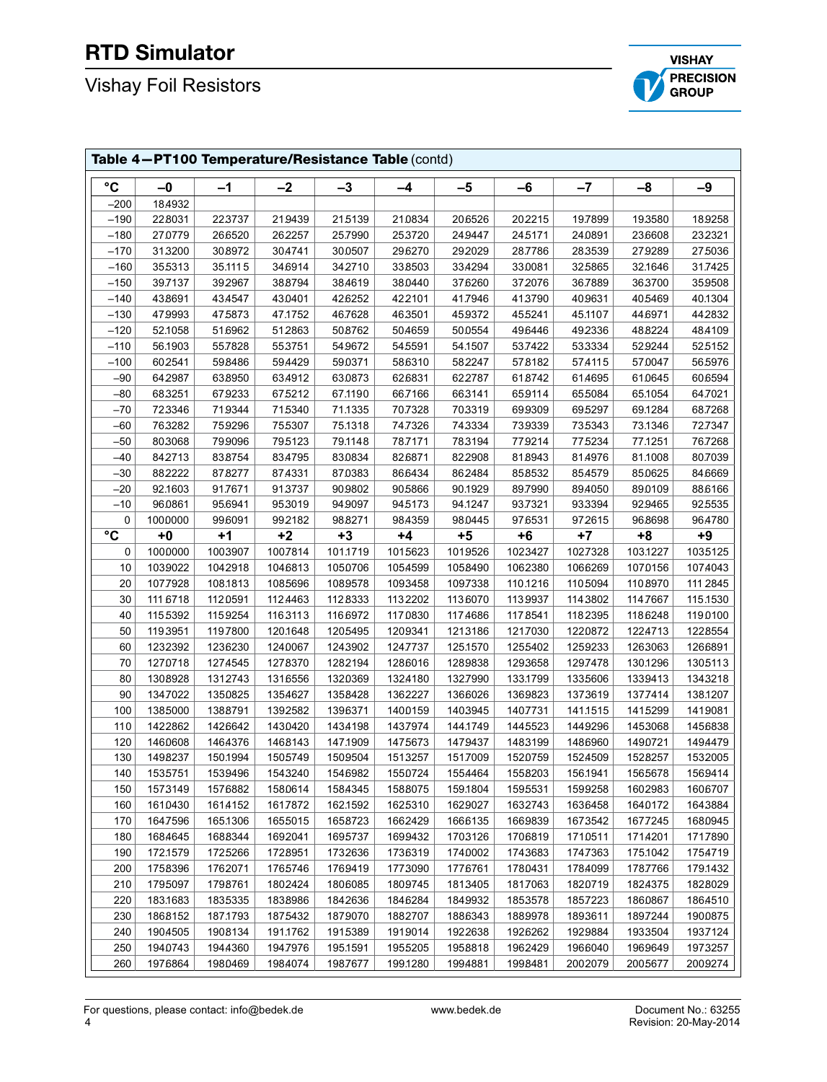# RTD Simulator

# Vishay Foil Resistors



| Table 4-PT100 Temperature/Resistance Table (contd) |          |          |          |          |          |          |          |          |          |          |
|----------------------------------------------------|----------|----------|----------|----------|----------|----------|----------|----------|----------|----------|
| $\rm ^{\circ}C$                                    | $-0$     | $-1$     | $-2$     | $-3$     | -4       | $-5$     | $-6$     | $-7$     | $-8$     | $-9$     |
| $-200$                                             | 18.4932  |          |          |          |          |          |          |          |          |          |
| $-190$                                             | 228031   | 223737   | 219439   | 215139   | 210834   | 206526   | 202215   | 19.7899  | 19.3580  | 18.9258  |
| $-180$                                             | 27.0779  | 266520   | 262257   | 25.7990  | 253720   | 249447   | 24.5171  | 24.0891  | 23.6608  | 232321   |
| $-170$                                             | 313200   | 308972   | 30.4741  | 300507   | 296270   | 292029   | 28.7786  | 28.3539  | 27.9289  | 275036   |
| $-160$                                             | 355313   | 35.1115  | 346914   | 342710   | 338503   | 33.4294  | 33.0081  | 32.5865  | 32.1646  | 31.7425  |
| $-150$                                             | 39.7137  | 392967   | 388794   | 38.4619  | 38.0440  | 37.6260  | 372076   | 36.7889  | 36.3700  | 359508   |
| $-140$                                             | 438691   | 43.4547  | 430401   | 426252   | 422101   | 41.7946  | 41.3790  | 40.9631  | 405469   | 40.1304  |
| $-130$                                             | 47.9993  | 47.5873  | 47.1752  | 46.7628  | 463501   | 459372   | 455241   | 45.1107  | 446971   | 442832   |
| $-120$                                             | 52.1058  | 516962   | 512863   | 50.8762  | 50.4659  | 500554   | 496446   | 492336   | 488224   | 484109   |
| $-110$                                             | 56.1903  | 55.7828  | 553751   | 549672   | 545591   | 54.1507  | 53.7422  | 533334   | 52.9244  | 52.5152  |
| $-100$                                             | 602541   | 598486   | 59.4429  | 590371   | 586310   | 582247   | 578182   | 574115   | 57.0047  | 56.5976  |
| -90                                                | 642987   | 638950   | 634912   | 630873   | 626831   | 622787   | 618742   | 61.4695  | 61.0645  | 60.6594  |
| $-80$                                              | 683251   | 679233   | 675212   | 67.1190  | 66.7166  | 66.3141  | 65.9114  | 655084   | 65.1054  | 64.7021  |
| $-70$                                              | 723346   | 719344   | 715340   | 71.1335  | 70.7328  | 70.3319  | 69.9309  | 695297   | 69.1284  | 68.7268  |
| $-60$                                              | 763282   | 759296   | 755307   | 75.1318  | 74.7326  | 743334   | 73.9339  | 735343   | 73.1346  | 72.7347  |
| $-50$                                              | 803068   | 79.9096  | 795123   | 79.1148  | 78.7171  | 78.3194  | 77.9214  | 775234   | 77.1251  | 76.7268  |
| -40                                                | 842713   | 83.8754  | 83.4795  | 830834   | 826871   | 822908   | 818943   | 81.4976  | 81.1008  | 80.7039  |
| $-30$                                              | 882222   | 878277   | 87.4331  | 870383   | 866434   | 862484   | 858532   | 854579   | 850625   | 846669   |
| $-20$                                              | 92.1603  | 91.7671  | 913737   | 909802   | 905866   | 90.1929  | 89.7990  | 894050   | 890109   | 88.6166  |
| $-10$                                              | 96.0861  | 95.6941  | 953019   | 949097   | 945173   | 94.1247  | 93.7321  | 93.3394  | 929465   | 92.5535  |
| 0                                                  | 1000000  | 996091   | 992182   | 988271   | 984359   | 980445   | 976531   | 972615   | 96.8698  | 96.4780  |
| $\rm ^{\circ}C$                                    | $+0$     | $+1$     | $+2$     | $+3$     | $+4$     | $+5$     | $+6$     | +7       | $+8$     | +9       |
| 0                                                  | 1000000  | 1003907  | 1007814  | 101.1719 | 1015623  | 1019526  | 1023427  | 1027328  | 103.1227 | 1035125  |
| 10                                                 | 1039022  | 1042918  | 1046813  | 1050706  | 1054599  | 1058490  | 1062380  | 1066269  | 1070156  | 1074043  |
| 20                                                 | 1077928  | 108.1813 | 1085696  | 1089578  | 1093458  | 1097338  | 110.1216 | 1105094  | 1108970  | 111 2845 |
| 30                                                 | 111 6718 | 1120591  | 1124463  | 1128333  | 1132202  | 1136070  | 1139937  | 1143802  | 114.7667 | 115.1530 |
| 40                                                 | 1155392  | 1159254  | 1163113  | 1166972  | 1170830  | 1174686  | 1178541  | 1182395  | 1186248  | 1190100  |
| 50                                                 | 1193951  | 1197800  | 120.1648 | 1205495  | 1209341  | 1213186  | 1217030  | 1220872  | 1224713  | 1228554  |
| 60                                                 | 1232392  | 1236230  | 1240067  | 1243902  | 1247737  | 125.1570 | 1255402  | 1259233  | 1263063  | 1266891  |
| 70                                                 | 1270718  | 1274545  | 1278370  | 1282194  | 1286016  | 1289838  | 1293658  | 1297478  | 130.1296 | 1305113  |
| 80                                                 | 1308928  | 1312743  | 1316556  | 1320369  | 1324180  | 1327990  | 133.1799 | 1335606  | 1339413  | 1343218  |
| 90                                                 | 1347022  | 1350825  | 1354627  | 1358428  | 1362227  | 1366026  | 1369823  | 1373619  | 1377414  | 138.1207 |
| 100                                                | 1385000  | 1388791  | 1392582  | 1396371  | 1400159  | 1403945  | 1407731  | 141.1515 | 1415299  | 1419081  |
| 110                                                | 1422862  | 1426642  | 1430420  | 1434198  | 1437974  | 144.1749 | 1445523  | 1449296  | 1453068  | 1456838  |
| 120                                                | 1460608  | 1464376  | 1468143  | 147.1909 | 1475673  | 1479437  | 1483199  | 1486960  | 1490721  | 1494479  |
| 130                                                | 1498237  | 150.1994 | 1505749  | 1509504  | 1513257  | 1517009  | 1520759  | 1524509  | 1528257  | 1532005  |
| 140                                                | 1535751  | 1539496  | 1543240  | 1546982  | 1550724  | 1554464  | 1558203  | 156.1941 | 1565678  | 1569414  |
| 150                                                | 1573149  | 1576882  | 1580614  | 1584345  | 1588075  | 159.1804 | 1595531  | 1599258  | 1602983  | 1606707  |
| 160                                                | 1610430  | 1614152  | 1617872  | 162.1592 | 1625310  | 1629027  | 1632743  | 1636458  | 1640172  | 1643884  |
| 170                                                | 164.7596 | 165.1306 | 1655015  | 1658723  | 1662429  | 1666135  | 1669839  | 1673542  | 1677245  | 1680945  |
| 180                                                | 1684645  | 1688344  | 1692041  | 1695737  | 1699432  | 1703126  | 1706819  | 1710511  | 1714201  | 1717890  |
| 190                                                | 172.1579 | 1725266  | 1728951  | 1732636  | 1736319  | 1740002  | 1743683  | 1747363  | 175.1042 | 1754719  |
| 200                                                | 1758396  | 1762071  | 1765746  | 1769419  | 1773090  | 1776761  | 1780431  | 1784099  | 1787766  | 179.1432 |
| 210                                                | 1795097  | 1798761  | 1802424  | 1806085  | 1809745  | 1813405  | 1817063  | 1820719  | 1824375  | 1828029  |
| 220                                                | 183.1683 | 1835335  | 1838986  | 1842636  | 1846284  | 1849932  | 1853578  | 1857223  | 1860867  | 1864510  |
| 230                                                | 1868152  | 187.1793 | 1875432  | 1879070  | 1882707  | 1886343  | 1889978  | 1893611  | 1897244  | 1900875  |
| 240                                                | 1904505  | 1908134  | 191.1762 | 1915389  | 1919014  | 1922638  | 1926262  | 1929884  | 1933504  | 1937124  |
| 250                                                | 1940743  | 1944360  | 1947976  | 195.1591 | 1955205  | 1958818  | 1962429  | 1966040  | 1969649  | 1973257  |
| 260                                                | 1976864  | 1980469  | 1984074  | 1987677  | 199.1280 | 1994881  | 1998481  | 2002079  | 2005677  | 2009274  |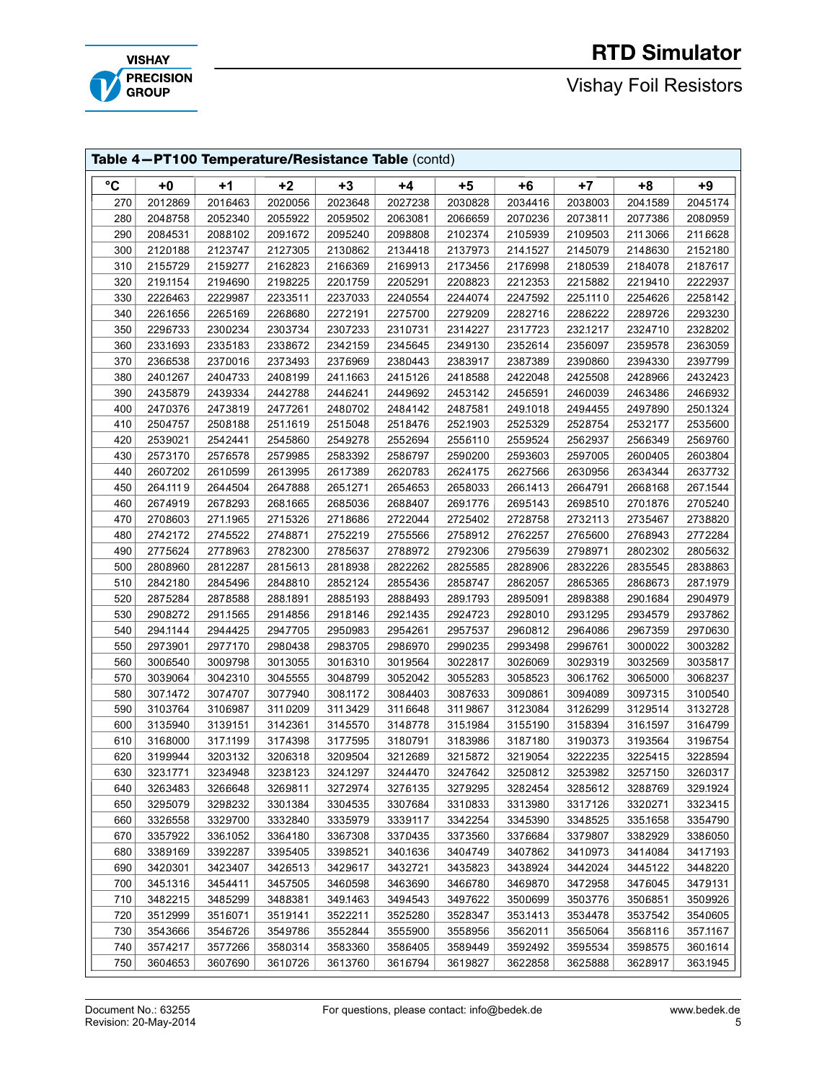# RTD Simulator

f





| Table 4-PT100 Temperature/Resistance Table (contd) |          |          |          |          |          |          |          |          |          |          |
|----------------------------------------------------|----------|----------|----------|----------|----------|----------|----------|----------|----------|----------|
| °C                                                 | $+0$     | $+1$     | $+2$     | $+3$     | $+4$     | $+5$     | $+6$     | $+7$     | $+8$     | $+9$     |
| 270                                                | 2012869  | 2016463  | 2020056  | 2023648  | 2027238  | 2030828  | 2034416  | 2038003  | 204.1589 | 2045174  |
| 280                                                | 2048758  | 2052340  | 2055922  | 2059502  | 2063081  | 2066659  | 2070236  | 2073811  | 2077386  | 2080959  |
| 290                                                | 2084531  | 2088102  | 209.1672 | 2095240  | 2098808  | 2102374  | 2105939  | 2109503  | 2113066  | 211 6628 |
| 300                                                | 2120188  | 2123747  | 2127305  | 2130862  | 2134418  | 2137973  | 214.1527 | 2145079  | 2148630  | 2152180  |
| 310                                                | 2155729  | 2159277  | 2162823  | 2166369  | 2169913  | 2173456  | 2176998  | 2180539  | 2184078  | 2187617  |
| 320                                                | 219.1154 | 2194690  | 2198225  | 220.1759 | 2205291  | 2208823  | 2212353  | 2215882  | 2219410  | 2222937  |
| 330                                                | 2226463  | 2229987  | 2233511  | 2237033  | 2240554  | 2244074  | 2247592  | 225.1110 | 2254626  | 2258142  |
| 340                                                | 226.1656 | 2265169  | 2268680  | 2272191  | 2275700  | 2279209  | 2282716  | 2286222  | 2289726  | 2293230  |
| 350                                                | 2296733  | 2300234  | 2303734  | 2307233  | 2310731  | 2314227  | 2317723  | 232.1217 | 2324710  | 2328202  |
| 360                                                | 233.1693 | 2335183  | 2338672  | 2342159  | 2345645  | 2349130  | 2352614  | 2356097  | 2359578  | 2363059  |
| 370                                                | 2366538  | 2370016  | 2373493  | 2376969  | 2380443  | 2383917  | 2387389  | 2390860  | 2394330  | 2397799  |
| 380                                                | 240.1267 | 2404733  | 2408199  | 241.1663 | 2415126  | 2418588  | 2422048  | 2425508  | 2428966  | 2432423  |
| 390                                                | 2435879  | 2439334  | 2442788  | 2446241  | 2449692  | 2453142  | 2456591  | 2460039  | 2463486  | 2466932  |
| 400                                                | 2470376  | 2473819  | 2477261  | 2480702  | 2484142  | 2487581  | 249.1018 | 2494455  | 2497890  | 250.1324 |
| 410                                                | 2504757  | 2508188  | 251.1619 | 2515048  | 2518476  | 252.1903 | 2525329  | 2528754  | 2532177  | 2535600  |
| 420                                                | 2539021  | 2542441  | 2545860  | 2549278  | 2552694  | 2556110  | 2559524  | 2562937  | 2566349  | 2569760  |
| 430                                                | 2573170  | 2576578  | 2579985  | 2583392  | 2586797  | 2590200  | 2593603  | 2597005  | 2600405  | 2603804  |
| 440                                                | 2607202  | 2610599  | 2613995  | 2617389  | 2620783  | 2624175  | 2627566  | 2630956  | 2634344  | 2637732  |
| 450                                                | 264.1119 | 2644504  | 2647888  | 265.1271 | 2654653  | 2658033  | 266.1413 | 2664791  | 2668168  | 267.1544 |
| 460                                                | 2674919  | 2678293  | 268.1665 | 2685036  | 2688407  | 269.1776 | 2695143  | 2698510  | 270.1876 | 2705240  |
| 470                                                | 2708603  | 271.1965 | 2715326  | 2718686  | 2722044  | 2725402  | 2728758  | 2732113  | 2735467  | 2738820  |
| 480                                                | 2742172  | 2745522  | 2748871  | 2752219  | 2755566  | 2758912  | 2762257  | 2765600  | 2768943  | 2772284  |
| 490                                                | 2775624  | 2778963  | 2782300  | 2785637  | 2788972  | 2792306  | 2795639  | 2798971  | 2802302  | 2805632  |
| 500                                                | 2808960  | 2812287  | 2815613  | 2818938  | 2822262  | 2825585  | 2828906  | 2832226  | 2835545  | 2838863  |
| 510                                                | 2842180  | 2845496  | 2848810  | 2852124  | 2855436  | 2858747  | 2862057  | 2865365  | 2868673  | 287.1979 |
| 520                                                | 2875284  | 2878588  | 288.1891 | 2885193  | 2888493  | 289.1793 | 2895091  | 2898388  | 290.1684 | 2904979  |
| 530                                                | 2908272  | 291.1565 | 2914856  | 2918146  | 292.1435 | 2924723  | 2928010  | 293.1295 | 2934579  | 2937862  |
| 540                                                | 294.1144 | 2944425  | 2947705  | 2950983  | 2954261  | 2957537  | 2960812  | 2964086  | 2967359  | 2970630  |
| 550                                                | 2973901  | 2977170  | 2980438  | 2983705  | 2986970  | 2990235  | 2993498  | 2996761  | 3000022  | 3003282  |
| 560                                                | 3006540  | 3009798  | 3013055  | 3016310  | 3019564  | 3022817  | 3026069  | 3029319  | 3032569  | 3035817  |
| 570                                                | 3039064  | 3042310  | 3045555  | 3048799  | 3052042  | 3055283  | 3058523  | 306.1762 | 3065000  | 3068237  |
| 580                                                | 307.1472 | 3074707  | 3077940  | 308.1172 | 3084403  | 3087633  | 3090861  | 3094089  | 3097315  | 3100540  |
| 590                                                | 3103764  | 3106987  | 3110209  | 3113429  | 3116648  | 3119867  | 3123084  | 3126299  | 3129514  | 3132728  |
| 600                                                | 3135940  | 3139151  | 3142361  | 3145570  | 3148778  | 315.1984 | 3155190  | 3158394  | 316.1597 | 3164799  |
| 610                                                | 3168000  | 317.1199 | 3174398  | 3177595  | 3180791  | 3183986  | 3187180  | 3190373  | 3193564  | 3196754  |
| 620                                                | 3199944  | 3203132  | 3206318  | 3209504  | 3212689  | 3215872  | 3219054  | 3222235  | 3225415  | 3228594  |
| 630                                                | 323.1771 | 3234948  | 3238123  | 324.1297 | 3244470  | 3247642  | 3250812  | 3253982  | 3257150  | 3260317  |
| 640                                                | 3263483  | 3266648  | 3269811  | 3272974  | 3276135  | 3279295  | 3282454  | 3285612  | 3288769  | 329.1924 |
| 650                                                | 3295079  | 3298232  | 330.1384 | 3304535  | 3307684  | 3310833  | 3313980  | 3317126  | 3320271  | 3323415  |
| 660                                                | 3326558  | 3329700  | 3332840  | 3335979  | 3339117  | 3342254  | 3345390  | 3348525  | 335.1658 | 3354790  |
| 670                                                | 3357922  | 336.1052 | 3364180  | 3367308  | 3370435  | 3373560  | 3376684  | 3379807  | 3382929  | 3386050  |
| 680                                                | 3389169  | 3392287  | 3395405  | 3398521  | 340.1636 | 3404749  | 3407862  | 3410973  | 3414084  | 3417193  |
| 690                                                | 3420301  | 3423407  | 3426513  | 3429617  | 3432721  | 3435823  | 3438924  | 3442024  | 3445122  | 3448220  |
| 700                                                | 345.1316 | 3454411  | 3457505  | 3460598  | 3463690  | 3466780  | 3469870  | 3472958  | 3476045  | 3479131  |
| 710                                                | 3482215  | 3485299  | 3488381  | 349.1463 | 3494543  | 3497622  | 3500699  | 3503776  | 3506851  | 3509926  |
| 720                                                | 3512999  | 3516071  | 3519141  | 3522211  | 3525280  | 3528347  | 353.1413 | 3534478  | 3537542  | 3540605  |
| 730                                                | 3543666  | 3546726  | 3549786  | 3552844  | 3555900  | 3558956  | 3562011  | 3565064  | 3568116  | 357.1167 |
| 740                                                | 3574217  | 3577266  | 3580314  | 3583360  | 3586405  | 3589449  | 3592492  | 3595534  | 3598575  | 360.1614 |
| 750                                                | 3604653  | 3607690  | 3610726  | 3613760  | 3616794  | 3619827  | 3622858  | 3625888  | 3628917  | 363.1945 |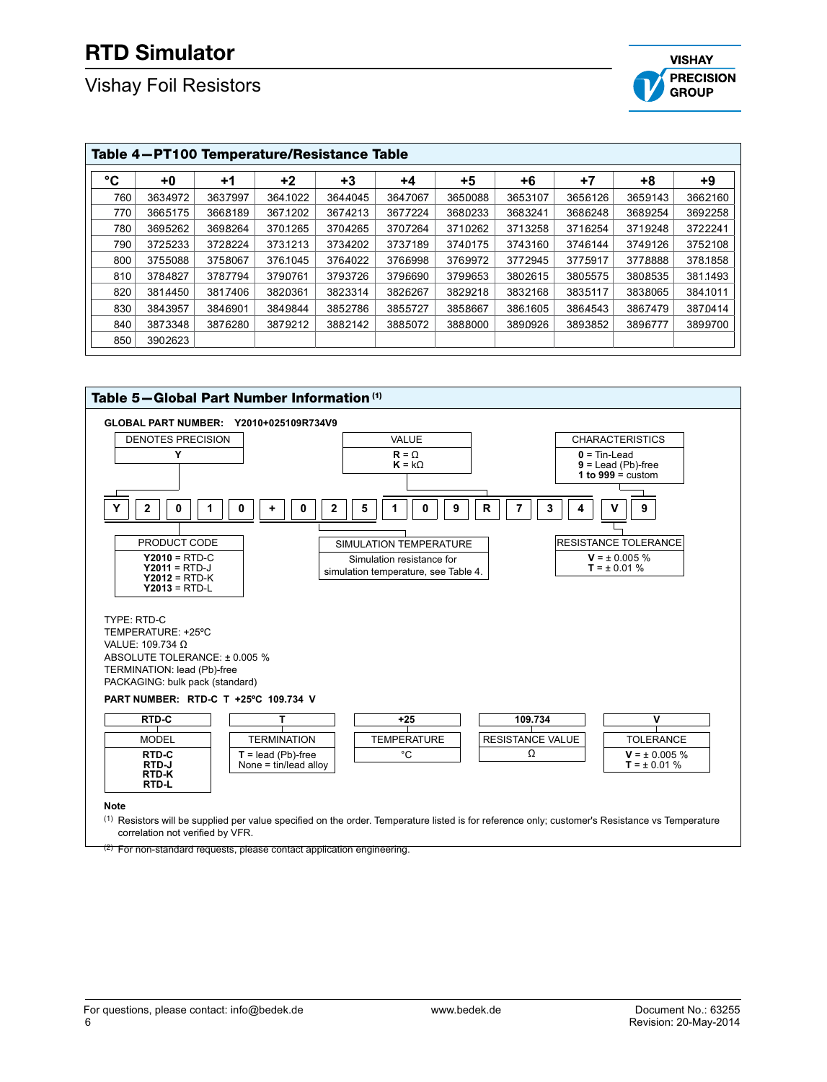## Vishay Foil Resistors



| °C<br>$+2$<br>+3<br>$+5$<br>$+7$<br>+0<br>+6<br>+8<br>$+1$<br>$+4$<br>760<br>3653107<br>3659143<br>3634972<br>3637997<br>364.1022<br>3644045<br>3647067<br>3650088<br>3656126<br>770<br>367.1202<br>3665175<br>3668189<br>3674213<br>3677224<br>3680233<br>3683241<br>3686248<br>3689254 |          |
|------------------------------------------------------------------------------------------------------------------------------------------------------------------------------------------------------------------------------------------------------------------------------------------|----------|
|                                                                                                                                                                                                                                                                                          | $+9$     |
|                                                                                                                                                                                                                                                                                          | 3662160  |
|                                                                                                                                                                                                                                                                                          | 3692258  |
| 780<br>3698264<br>370.1265<br>3707264<br>3710262<br>3713258<br>3719248<br>3695262<br>3704265<br>3716254                                                                                                                                                                                  | 3722241  |
| 790<br>3737189<br>3725233<br>3728224<br>373.1213<br>3734202<br>3743160<br>3746144<br>3749126<br>3740175                                                                                                                                                                                  | 3752108  |
| 800<br>3772945<br>3778888<br>3755088<br>3758067<br>376.1045<br>3764022<br>3766998<br>3769972<br>3775917                                                                                                                                                                                  | 378.1858 |
| 810<br>3802615<br>3784827<br>3787794<br>3790761<br>3793726<br>3796690<br>3799653<br>3805575<br>3808535                                                                                                                                                                                   | 381.1493 |
| 820<br>3817406<br>3814450<br>3820361<br>3823314<br>3826267<br>3829218<br>3832168<br>3835117<br>3838065                                                                                                                                                                                   | 384.1011 |
| 830<br>3852786<br>3843957<br>3846901<br>3849844<br>3855727<br>386,1605<br>3864543<br>3867479<br>3858667                                                                                                                                                                                  | 3870414  |
| 840<br>3873348<br>3876280<br>3879212<br>3890926<br>3882142<br>3885072<br>3888000<br>3893852<br>3896777                                                                                                                                                                                   | 3899700  |
| 850<br>3902623                                                                                                                                                                                                                                                                           |          |



 $^{(1)}$  Resistors will be supplied per value specified on the order. Temperature listed is for reference only; customer's Resistance vs Temperature correlation not verified by VFR.

<sup>(2)</sup> For non-standard requests, please contact application engineering.